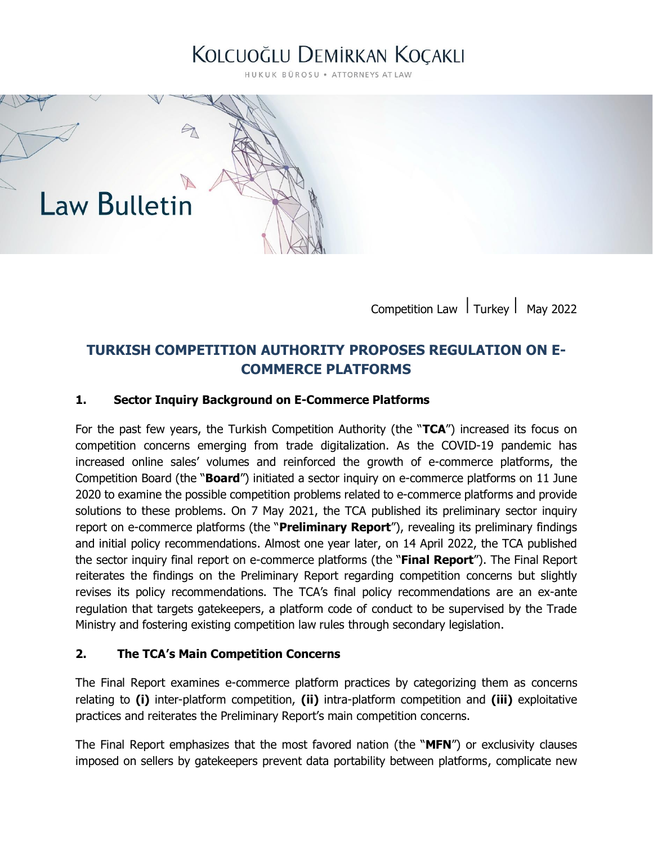HUKUK BÜROSU . ATTORNEYS AT LAW



Competition Law I Turkey I May 2022

### **TURKISH COMPETITION AUTHORITY PROPOSES REGULATION ON E-COMMERCE PLATFORMS**

#### **1. Sector Inquiry Background on E-Commerce Platforms**

For the past few years, the Turkish Competition Authority (the "**TCA**") increased its focus on competition concerns emerging from trade digitalization. As the COVID-19 pandemic has increased online sales' volumes and reinforced the growth of e-commerce platforms, the Competition Board (the "**Board**") initiated a sector inquiry on e-commerce platforms on 11 June 2020 to examine the possible competition problems related to e-commerce platforms and provide solutions to these problems. On 7 May 2021, the TCA published its preliminary sector inquiry report on e-commerce platforms (the "**Preliminary Report**"), revealing its preliminary findings and initial policy recommendations. Almost one year later, on 14 April 2022, the TCA published the sector inquiry final report on e-commerce platforms (the "**Final Report**"). The Final Report reiterates the findings on the Preliminary Report regarding competition concerns but slightly revises its policy recommendations. The TCA's final policy recommendations are an ex-ante regulation that targets gatekeepers, a platform code of conduct to be supervised by the Trade Ministry and fostering existing competition law rules through secondary legislation.

#### **2. The TCA's Main Competition Concerns**

The Final Report examines e-commerce platform practices by categorizing them as concerns relating to **(i)** inter-platform competition, **(ii)** intra-platform competition and **(iii)** exploitative practices and reiterates the Preliminary Report's main competition concerns.

The Final Report emphasizes that the most favored nation (the "**MFN**") or exclusivity clauses imposed on sellers by gatekeepers prevent data portability between platforms, complicate new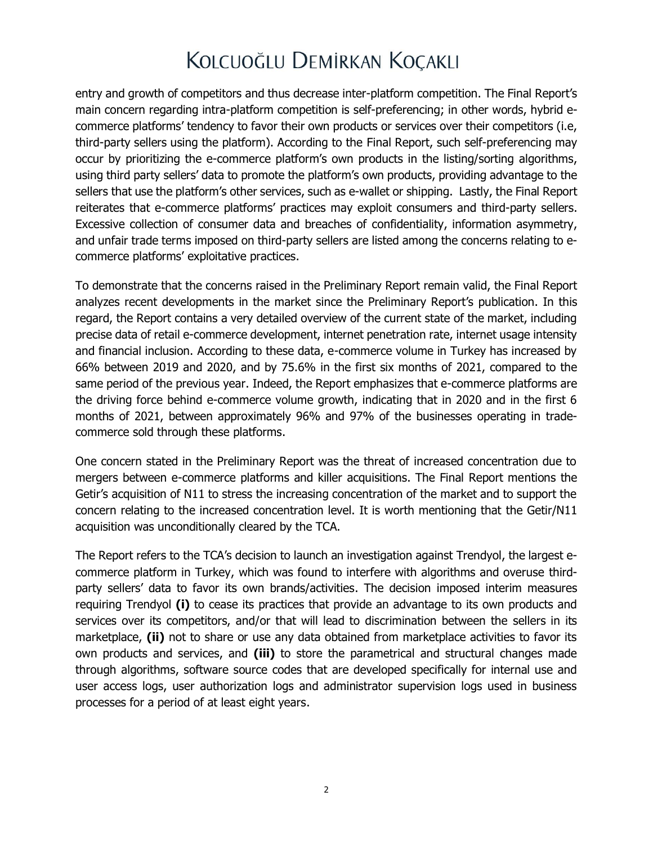entry and growth of competitors and thus decrease inter-platform competition. The Final Report's main concern regarding intra-platform competition is self-preferencing; in other words, hybrid ecommerce platforms' tendency to favor their own products or services over their competitors (i.e, third-party sellers using the platform). According to the Final Report, such self-preferencing may occur by prioritizing the e-commerce platform's own products in the listing/sorting algorithms, using third party sellers' data to promote the platform's own products, providing advantage to the sellers that use the platform's other services, such as e-wallet or shipping. Lastly, the Final Report reiterates that e-commerce platforms' practices may exploit consumers and third-party sellers. Excessive collection of consumer data and breaches of confidentiality, information asymmetry, and unfair trade terms imposed on third-party sellers are listed among the concerns relating to ecommerce platforms' exploitative practices.

To demonstrate that the concerns raised in the Preliminary Report remain valid, the Final Report analyzes recent developments in the market since the Preliminary Report's publication. In this regard, the Report contains a very detailed overview of the current state of the market, including precise data of retail e-commerce development, internet penetration rate, internet usage intensity and financial inclusion. According to these data, e-commerce volume in Turkey has increased by 66% between 2019 and 2020, and by 75.6% in the first six months of 2021, compared to the same period of the previous year. Indeed, the Report emphasizes that e-commerce platforms are the driving force behind e-commerce volume growth, indicating that in 2020 and in the first 6 months of 2021, between approximately 96% and 97% of the businesses operating in tradecommerce sold through these platforms.

One concern stated in the Preliminary Report was the threat of increased concentration due to mergers between e-commerce platforms and killer acquisitions. The Final Report mentions the Getir's acquisition of N11 to stress the increasing concentration of the market and to support the concern relating to the increased concentration level. It is worth mentioning that the Getir/N11 acquisition was unconditionally cleared by the TCA.

The Report refers to the TCA's decision to launch an investigation against Trendyol, the largest ecommerce platform in Turkey, which was found to interfere with algorithms and overuse thirdparty sellers' data to favor its own brands/activities. The decision imposed interim measures requiring Trendyol **(i)** to cease its practices that provide an advantage to its own products and services over its competitors, and/or that will lead to discrimination between the sellers in its marketplace, **(ii)** not to share or use any data obtained from marketplace activities to favor its own products and services, and **(iii)** to store the parametrical and structural changes made through algorithms, software source codes that are developed specifically for internal use and user access logs, user authorization logs and administrator supervision logs used in business processes for a period of at least eight years.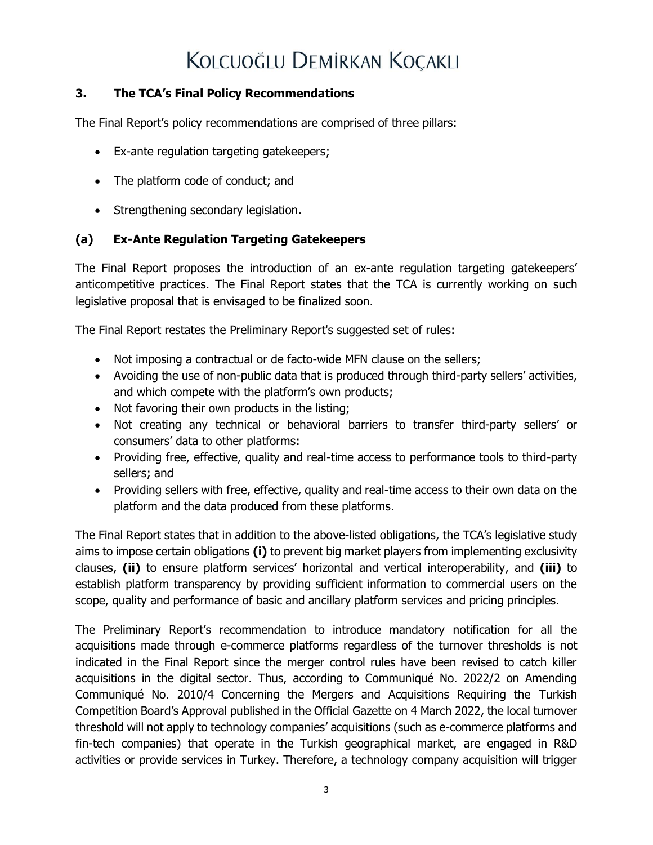#### **3. The TCA's Final Policy Recommendations**

The Final Report's policy recommendations are comprised of three pillars:

- Ex-ante regulation targeting gatekeepers;
- The platform code of conduct; and
- Strengthening secondary legislation.

#### **(a) Ex-Ante Regulation Targeting Gatekeepers**

The Final Report proposes the introduction of an ex-ante regulation targeting gatekeepers' anticompetitive practices. The Final Report states that the TCA is currently working on such legislative proposal that is envisaged to be finalized soon.

The Final Report restates the Preliminary Report's suggested set of rules:

- Not imposing a contractual or de facto-wide MFN clause on the sellers;
- Avoiding the use of non-public data that is produced through third-party sellers' activities, and which compete with the platform's own products;
- Not favoring their own products in the listing;
- Not creating any technical or behavioral barriers to transfer third-party sellers' or consumers' data to other platforms:
- Providing free, effective, quality and real-time access to performance tools to third-party sellers; and
- Providing sellers with free, effective, quality and real-time access to their own data on the platform and the data produced from these platforms.

The Final Report states that in addition to the above-listed obligations, the TCA's legislative study aims to impose certain obligations **(i)** to prevent big market players from implementing exclusivity clauses, **(ii)** to ensure platform services' horizontal and vertical interoperability, and **(iii)** to establish platform transparency by providing sufficient information to commercial users on the scope, quality and performance of basic and ancillary platform services and pricing principles.

The Preliminary Report's recommendation to introduce mandatory notification for all the acquisitions made through e-commerce platforms regardless of the turnover thresholds is not indicated in the Final Report since the merger control rules have been revised to catch killer acquisitions in the digital sector. Thus, according to Communiqué No. 2022/2 on Amending Communiqué No. 2010/4 Concerning the Mergers and Acquisitions Requiring the Turkish Competition Board's Approval published in the Official Gazette on 4 March 2022, the local turnover threshold will not apply to technology companies' acquisitions (such as e-commerce platforms and fin-tech companies) that operate in the Turkish geographical market, are engaged in R&D activities or provide services in Turkey. Therefore, a technology company acquisition will trigger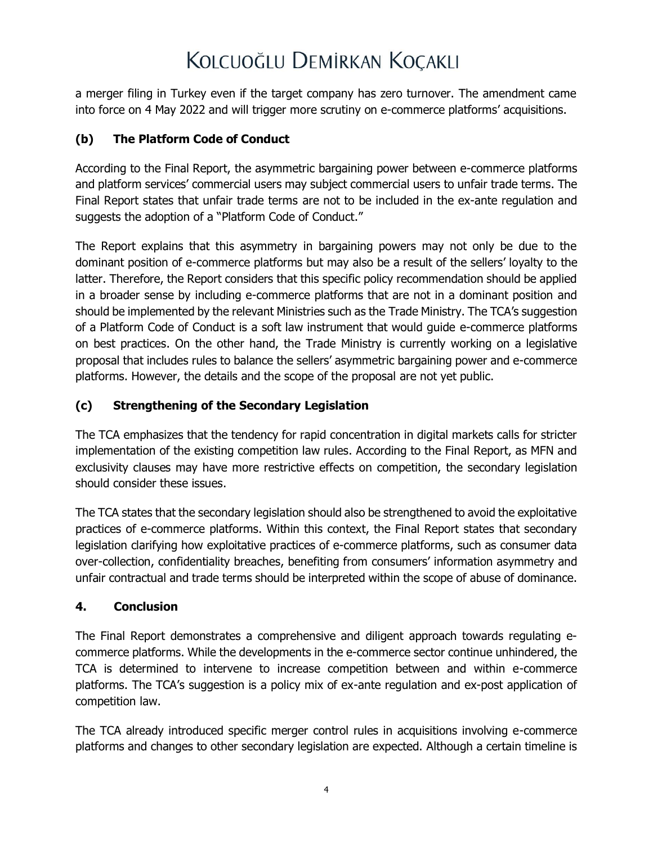a merger filing in Turkey even if the target company has zero turnover. The amendment came into force on 4 May 2022 and will trigger more scrutiny on e-commerce platforms' acquisitions.

### **(b) The Platform Code of Conduct**

According to the Final Report, the asymmetric bargaining power between e-commerce platforms and platform services' commercial users may subject commercial users to unfair trade terms. The Final Report states that unfair trade terms are not to be included in the ex-ante regulation and suggests the adoption of a "Platform Code of Conduct."

The Report explains that this asymmetry in bargaining powers may not only be due to the dominant position of e-commerce platforms but may also be a result of the sellers' loyalty to the latter. Therefore, the Report considers that this specific policy recommendation should be applied in a broader sense by including e-commerce platforms that are not in a dominant position and should be implemented by the relevant Ministries such as the Trade Ministry. The TCA's suggestion of a Platform Code of Conduct is a soft law instrument that would guide e-commerce platforms on best practices. On the other hand, the Trade Ministry is currently working on a legislative proposal that includes rules to balance the sellers' asymmetric bargaining power and e-commerce platforms. However, the details and the scope of the proposal are not yet public.

### **(c) Strengthening of the Secondary Legislation**

The TCA emphasizes that the tendency for rapid concentration in digital markets calls for stricter implementation of the existing competition law rules. According to the Final Report, as MFN and exclusivity clauses may have more restrictive effects on competition, the secondary legislation should consider these issues.

The TCA states that the secondary legislation should also be strengthened to avoid the exploitative practices of e-commerce platforms. Within this context, the Final Report states that secondary legislation clarifying how exploitative practices of e-commerce platforms, such as consumer data over-collection, confidentiality breaches, benefiting from consumers' information asymmetry and unfair contractual and trade terms should be interpreted within the scope of abuse of dominance.

### **4. Conclusion**

The Final Report demonstrates a comprehensive and diligent approach towards regulating ecommerce platforms. While the developments in the e-commerce sector continue unhindered, the TCA is determined to intervene to increase competition between and within e-commerce platforms. The TCA's suggestion is a policy mix of ex-ante regulation and ex-post application of competition law.

The TCA already introduced specific merger control rules in acquisitions involving e-commerce platforms and changes to other secondary legislation are expected. Although a certain timeline is